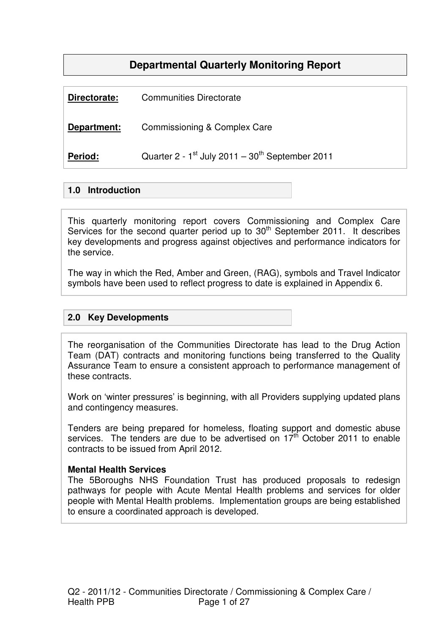## **Departmental Quarterly Monitoring Report**

| Period:      | Quarter 2 - $1^{st}$ July 2011 - $30^{th}$ September 2011 |
|--------------|-----------------------------------------------------------|
|              |                                                           |
| Department:  | Commissioning & Complex Care                              |
| Directorate: | <b>Communities Directorate</b>                            |

### **1.0 Introduction**

This quarterly monitoring report covers Commissioning and Complex Care Services for the second quarter period up to 30<sup>th</sup> September 2011. It describes key developments and progress against objectives and performance indicators for the service.

The way in which the Red, Amber and Green, (RAG), symbols and Travel Indicator symbols have been used to reflect progress to date is explained in Appendix 6.

### **2.0 Key Developments**

The reorganisation of the Communities Directorate has lead to the Drug Action Team (DAT) contracts and monitoring functions being transferred to the Quality Assurance Team to ensure a consistent approach to performance management of these contracts.

Work on 'winter pressures' is beginning, with all Providers supplying updated plans and contingency measures.

Tenders are being prepared for homeless, floating support and domestic abuse services. The tenders are due to be advertised on  $17<sup>th</sup>$  October 2011 to enable contracts to be issued from April 2012.

#### **Mental Health Services**

The 5Boroughs NHS Foundation Trust has produced proposals to redesign pathways for people with Acute Mental Health problems and services for older people with Mental Health problems. Implementation groups are being established to ensure a coordinated approach is developed.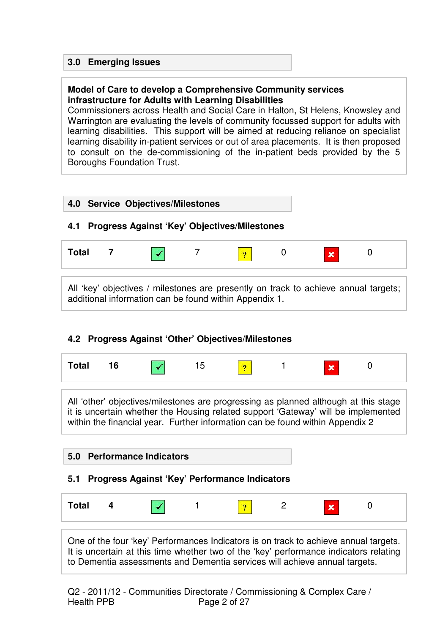### **3.0 Emerging Issues**

#### **Model of Care to develop a Comprehensive Community services infrastructure for Adults with Learning Disabilities**

Commissioners across Health and Social Care in Halton, St Helens, Knowsley and Warrington are evaluating the levels of community focussed support for adults with learning disabilities. This support will be aimed at reducing reliance on specialist learning disability in-patient services or out of area placements. It is then proposed to consult on the de-commissioning of the in-patient beds provided by the 5 Boroughs Foundation Trust.



### **4.2 Progress Against 'Other' Objectives/Milestones**

| ιαι |  |  |  |  |  | . . |  |  |
|-----|--|--|--|--|--|-----|--|--|
|-----|--|--|--|--|--|-----|--|--|

All 'other' objectives/milestones are progressing as planned although at this stage it is uncertain whether the Housing related support 'Gateway' will be implemented within the financial year. Further information can be found within Appendix 2

| 5.0 Performance Indicators |  |
|----------------------------|--|
|----------------------------|--|

### **5.1 Progress Against 'Key' Performance Indicators**

| <b>Total</b> | $\mathbf{r}$ |  |  | ۰ |  | <b>A</b><br>ю |  |
|--------------|--------------|--|--|---|--|---------------|--|
|--------------|--------------|--|--|---|--|---------------|--|

One of the four 'key' Performances Indicators is on track to achieve annual targets. It is uncertain at this time whether two of the 'key' performance indicators relating to Dementia assessments and Dementia services will achieve annual targets.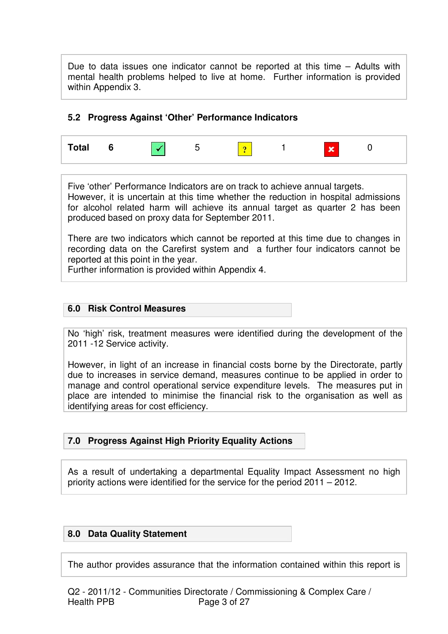Due to data issues one indicator cannot be reported at this time – Adults with mental health problems helped to live at home. Further information is provided within Appendix 3.

#### **5.2 Progress Against 'Other' Performance Indicators**



Five 'other' Performance Indicators are on track to achieve annual targets. However, it is uncertain at this time whether the reduction in hospital admissions for alcohol related harm will achieve its annual target as quarter 2 has been produced based on proxy data for September 2011.

There are two indicators which cannot be reported at this time due to changes in recording data on the Carefirst system and a further four indicators cannot be reported at this point in the year.

Further information is provided within Appendix 4.

#### **6.0 Risk Control Measures**

No 'high' risk, treatment measures were identified during the development of the 2011 -12 Service activity.

However, in light of an increase in financial costs borne by the Directorate, partly due to increases in service demand, measures continue to be applied in order to manage and control operational service expenditure levels. The measures put in place are intended to minimise the financial risk to the organisation as well as identifying areas for cost efficiency.

### **7.0 Progress Against High Priority Equality Actions**

As a result of undertaking a departmental Equality Impact Assessment no high priority actions were identified for the service for the period 2011 – 2012.

#### **8.0 Data Quality Statement**

The author provides assurance that the information contained within this report is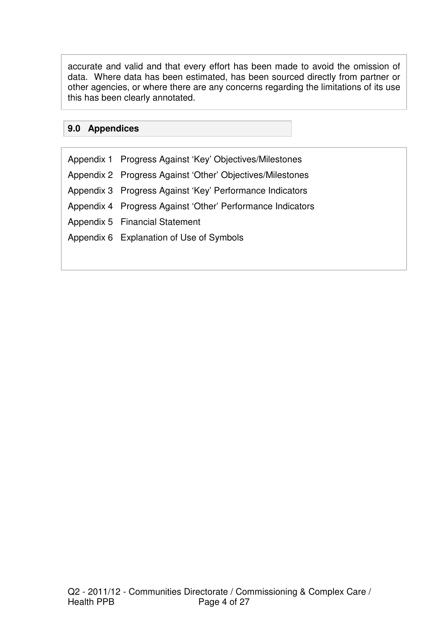accurate and valid and that every effort has been made to avoid the omission of data. Where data has been estimated, has been sourced directly from partner or other agencies, or where there are any concerns regarding the limitations of its use this has been clearly annotated.

#### **9.0 Appendices**

Appendix 1 Progress Against 'Key' Objectives/Milestones Appendix 2 Progress Against 'Other' Objectives/Milestones Appendix 3 Progress Against 'Key' Performance Indicators Appendix 4 Progress Against 'Other' Performance Indicators Appendix 5 Financial Statement Appendix 6 Explanation of Use of Symbols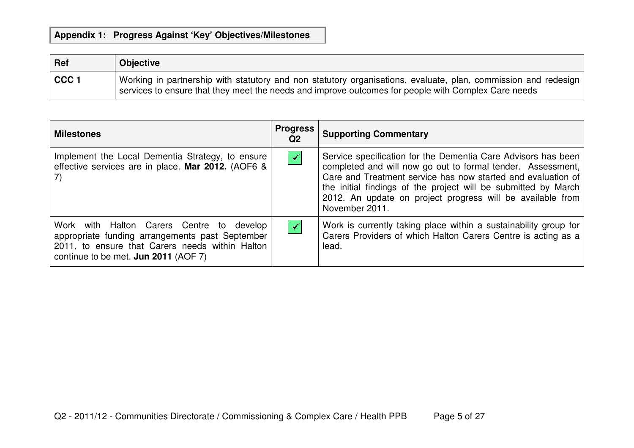| Ref              | <b>Objective</b>                                                                                                                                                                                                      |
|------------------|-----------------------------------------------------------------------------------------------------------------------------------------------------------------------------------------------------------------------|
| CCC <sub>1</sub> | Working in partnership with statutory and non statutory organisations, evaluate, plan, commission and redesign<br>services to ensure that they meet the needs and improve outcomes for people with Complex Care needs |

| <b>Milestones</b>                                                                                                                                                                       | <b>Progress</b><br>Q <sub>2</sub> | <b>Supporting Commentary</b>                                                                                                                                                                                                                                                                                                                   |
|-----------------------------------------------------------------------------------------------------------------------------------------------------------------------------------------|-----------------------------------|------------------------------------------------------------------------------------------------------------------------------------------------------------------------------------------------------------------------------------------------------------------------------------------------------------------------------------------------|
| Implement the Local Dementia Strategy, to ensure<br>effective services are in place. Mar 2012. (AOF6 &<br>7)                                                                            | $\blacktriangledown$              | Service specification for the Dementia Care Advisors has been<br>completed and will now go out to formal tender. Assessment,<br>Care and Treatment service has now started and evaluation of<br>the initial findings of the project will be submitted by March<br>2012. An update on project progress will be available from<br>November 2011. |
| Work with Halton Carers Centre to develop<br>appropriate funding arrangements past September<br>2011, to ensure that Carers needs within Halton<br>continue to be met. Jun 2011 (AOF 7) | $\blacktriangledown$              | Work is currently taking place within a sustainability group for<br>Carers Providers of which Halton Carers Centre is acting as a<br>lead.                                                                                                                                                                                                     |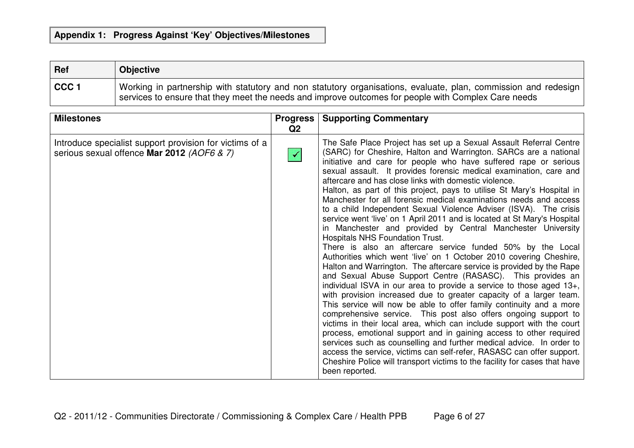| Ref              | <b>Objective</b>                                                                                                                                                                                                      |
|------------------|-----------------------------------------------------------------------------------------------------------------------------------------------------------------------------------------------------------------------|
| CCC <sub>1</sub> | Working in partnership with statutory and non statutory organisations, evaluate, plan, commission and redesign<br>services to ensure that they meet the needs and improve outcomes for people with Complex Care needs |

| <b>Milestones</b>                                                                                     | <b>Progress</b><br>Q <sub>2</sub> | <b>Supporting Commentary</b>                                                                                                                                                                                                                                                                                                                                                                                                                                                                                                                                                                                                                                                                                                                                                                                                                                                                                                                                                                                                                                                                                                                                                                                                                                                                                                                                                                                                                                                                                                                                                                                                                                                                                        |
|-------------------------------------------------------------------------------------------------------|-----------------------------------|---------------------------------------------------------------------------------------------------------------------------------------------------------------------------------------------------------------------------------------------------------------------------------------------------------------------------------------------------------------------------------------------------------------------------------------------------------------------------------------------------------------------------------------------------------------------------------------------------------------------------------------------------------------------------------------------------------------------------------------------------------------------------------------------------------------------------------------------------------------------------------------------------------------------------------------------------------------------------------------------------------------------------------------------------------------------------------------------------------------------------------------------------------------------------------------------------------------------------------------------------------------------------------------------------------------------------------------------------------------------------------------------------------------------------------------------------------------------------------------------------------------------------------------------------------------------------------------------------------------------------------------------------------------------------------------------------------------------|
| Introduce specialist support provision for victims of a<br>serious sexual offence Mar 2012 (AOF6 & 7) | $\blacktriangledown$              | The Safe Place Project has set up a Sexual Assault Referral Centre<br>(SARC) for Cheshire, Halton and Warrington. SARCs are a national<br>initiative and care for people who have suffered rape or serious<br>sexual assault. It provides forensic medical examination, care and<br>aftercare and has close links with domestic violence.<br>Halton, as part of this project, pays to utilise St Mary's Hospital in<br>Manchester for all forensic medical examinations needs and access<br>to a child Independent Sexual Violence Adviser (ISVA). The crisis<br>service went 'live' on 1 April 2011 and is located at St Mary's Hospital<br>in Manchester and provided by Central Manchester University<br><b>Hospitals NHS Foundation Trust.</b><br>There is also an aftercare service funded 50% by the Local<br>Authorities which went 'live' on 1 October 2010 covering Cheshire,<br>Halton and Warrington. The aftercare service is provided by the Rape<br>and Sexual Abuse Support Centre (RASASC). This provides an<br>individual ISVA in our area to provide a service to those aged 13+,<br>with provision increased due to greater capacity of a larger team.<br>This service will now be able to offer family continuity and a more<br>comprehensive service. This post also offers ongoing support to<br>victims in their local area, which can include support with the court<br>process, emotional support and in gaining access to other required<br>services such as counselling and further medical advice. In order to<br>access the service, victims can self-refer, RASASC can offer support.<br>Cheshire Police will transport victims to the facility for cases that have<br>been reported. |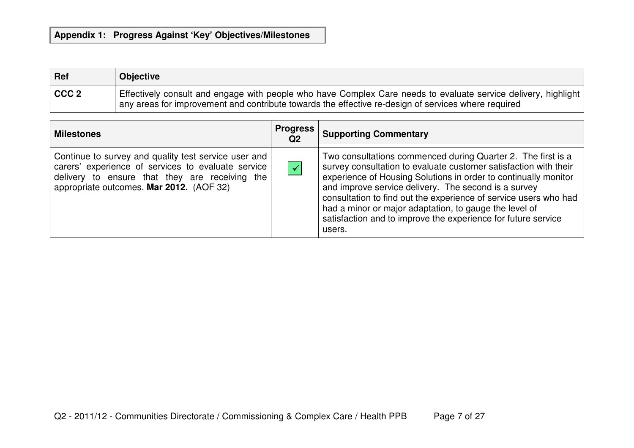| Ref              | <b>Objective</b>                                                                                                                                                                                                      |
|------------------|-----------------------------------------------------------------------------------------------------------------------------------------------------------------------------------------------------------------------|
| CCC <sub>2</sub> | Effectively consult and engage with people who have Complex Care needs to evaluate service delivery, highlight<br>any areas for improvement and contribute towards the effective re-design of services where required |

| <b>Milestones</b>                                                                                                                                                                                        | <b>Progress</b><br>Q <sub>2</sub> | <b>Supporting Commentary</b>                                                                                                                                                                                                                                                                                                                                                                                                                                         |
|----------------------------------------------------------------------------------------------------------------------------------------------------------------------------------------------------------|-----------------------------------|----------------------------------------------------------------------------------------------------------------------------------------------------------------------------------------------------------------------------------------------------------------------------------------------------------------------------------------------------------------------------------------------------------------------------------------------------------------------|
| Continue to survey and quality test service user and<br>carers' experience of services to evaluate service<br>delivery to ensure that they are receiving the<br>appropriate outcomes. Mar 2012. (AOF 32) | $\blacktriangledown$              | Two consultations commenced during Quarter 2. The first is a<br>survey consultation to evaluate customer satisfaction with their<br>experience of Housing Solutions in order to continually monitor<br>and improve service delivery. The second is a survey<br>consultation to find out the experience of service users who had<br>had a minor or major adaptation, to gauge the level of<br>satisfaction and to improve the experience for future service<br>users. |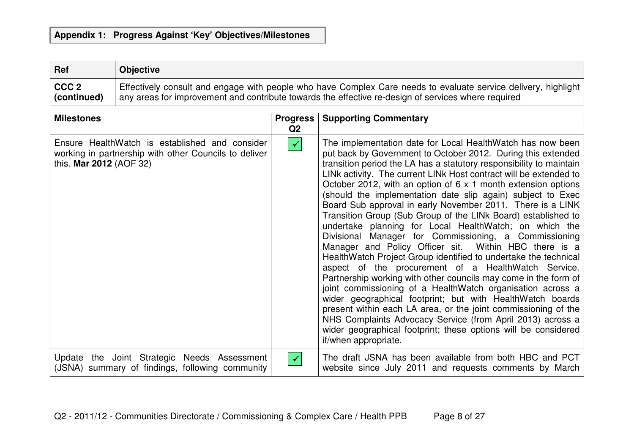| Ref              | <b>Objective</b>                                                                                               |
|------------------|----------------------------------------------------------------------------------------------------------------|
| CCC <sub>2</sub> | Effectively consult and engage with people who have Complex Care needs to evaluate service delivery, highlight |
| (continued)      | any areas for improvement and contribute towards the effective re-design of services where required            |

| <b>Milestones</b>                                                                                                                  | <b>Progress</b><br>Q <sub>2</sub> | <b>Supporting Commentary</b>                                                                                                                                                                                                                                                                                                                                                                                                                                                                                                                                                                                                                                                                                                                                                                                                                                                                                                                                                                                                                                                                                                                                                                                                                                               |
|------------------------------------------------------------------------------------------------------------------------------------|-----------------------------------|----------------------------------------------------------------------------------------------------------------------------------------------------------------------------------------------------------------------------------------------------------------------------------------------------------------------------------------------------------------------------------------------------------------------------------------------------------------------------------------------------------------------------------------------------------------------------------------------------------------------------------------------------------------------------------------------------------------------------------------------------------------------------------------------------------------------------------------------------------------------------------------------------------------------------------------------------------------------------------------------------------------------------------------------------------------------------------------------------------------------------------------------------------------------------------------------------------------------------------------------------------------------------|
| Ensure HealthWatch is established and consider<br>working in partnership with other Councils to deliver<br>this. Mar 2012 (AOF 32) | $\blacktriangledown$              | The implementation date for Local HealthWatch has now been<br>put back by Government to October 2012. During this extended<br>transition period the LA has a statutory responsibility to maintain<br>LINk activity. The current LINk Host contract will be extended to<br>October 2012, with an option of $6 \times 1$ month extension options<br>(should the implementation date slip again) subject to Exec<br>Board Sub approval in early November 2011. There is a LINK<br>Transition Group (Sub Group of the LINk Board) established to<br>undertake planning for Local HealthWatch; on which the<br>Divisional Manager for Commissioning, a Commissioning<br>Manager and Policy Officer sit. Within HBC there is a<br>HealthWatch Project Group identified to undertake the technical<br>aspect of the procurement of a HealthWatch Service.<br>Partnership working with other councils may come in the form of<br>joint commissioning of a HealthWatch organisation across a<br>wider geographical footprint; but with HealthWatch boards<br>present within each LA area, or the joint commissioning of the<br>NHS Complaints Advocacy Service (from April 2013) across a<br>wider geographical footprint; these options will be considered<br>if/when appropriate. |
| Update the Joint Strategic Needs Assessment<br>(JSNA) summary of findings, following community                                     | ✔                                 | The draft JSNA has been available from both HBC and PCT<br>website since July 2011 and requests comments by March                                                                                                                                                                                                                                                                                                                                                                                                                                                                                                                                                                                                                                                                                                                                                                                                                                                                                                                                                                                                                                                                                                                                                          |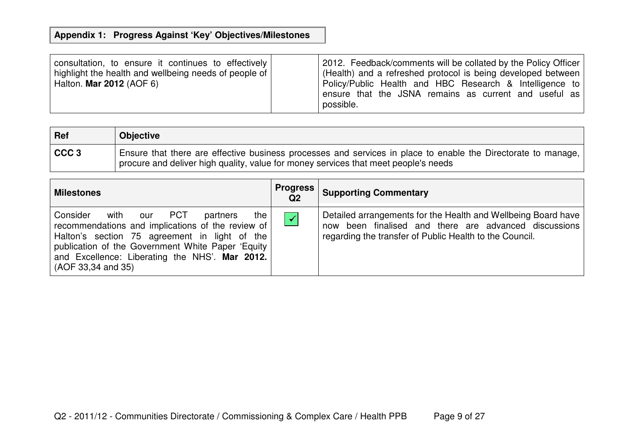| consultation, to ensure it continues to effectively   | 2012. Feedback/comments will be collated by the Policy Officer                                                                |
|-------------------------------------------------------|-------------------------------------------------------------------------------------------------------------------------------|
| highlight the health and wellbeing needs of people of | (Health) and a refreshed protocol is being developed between                                                                  |
| Halton. Mar 2012 (AOF 6)                              | Policy/Public Health and HBC Research & Intelligence to<br>ensure that the JSNA remains as current and useful as<br>possible. |

| Ref              | <b>Objective</b>                                                                                                                                                                                     |
|------------------|------------------------------------------------------------------------------------------------------------------------------------------------------------------------------------------------------|
| CCC <sub>3</sub> | Ensure that there are effective business processes and services in place to enable the Directorate to manage,<br>procure and deliver high quality, value for money services that meet people's needs |

| <b>Milestones</b>                                                                                                                                                                                                                                                                   | <b>Progress</b><br>Q <sub>2</sub> | <b>Supporting Commentary</b>                                                                                                                                                      |
|-------------------------------------------------------------------------------------------------------------------------------------------------------------------------------------------------------------------------------------------------------------------------------------|-----------------------------------|-----------------------------------------------------------------------------------------------------------------------------------------------------------------------------------|
| Consider<br>our PCT<br>with<br>the<br>partners<br>recommendations and implications of the review of<br>Halton's section 75 agreement in light of the<br>publication of the Government White Paper 'Equity  <br>and Excellence: Liberating the NHS'. Mar 2012.<br>(AOF 33,34 and 35) | $\prec$                           | Detailed arrangements for the Health and Wellbeing Board have<br>now been finalised and there are advanced discussions<br>regarding the transfer of Public Health to the Council. |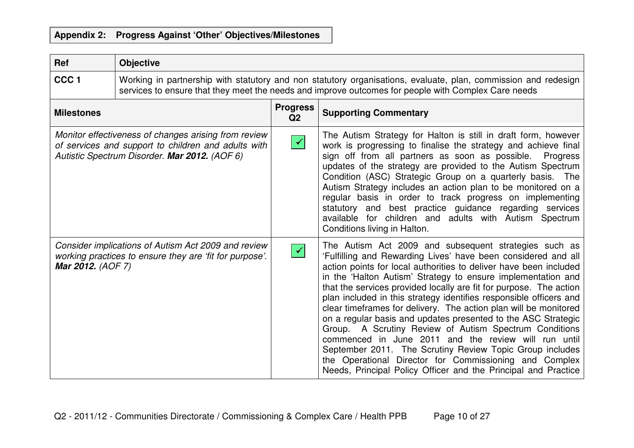| Ref                      | <b>Objective</b>                                                                                                                                                                                                      |                                   |                                                                                                                                                                                                                                                                                                                                                                                                                                                                                                                                                                                                                                                                                                                                                                                                                                                        |
|--------------------------|-----------------------------------------------------------------------------------------------------------------------------------------------------------------------------------------------------------------------|-----------------------------------|--------------------------------------------------------------------------------------------------------------------------------------------------------------------------------------------------------------------------------------------------------------------------------------------------------------------------------------------------------------------------------------------------------------------------------------------------------------------------------------------------------------------------------------------------------------------------------------------------------------------------------------------------------------------------------------------------------------------------------------------------------------------------------------------------------------------------------------------------------|
| CCC <sub>1</sub>         | Working in partnership with statutory and non statutory organisations, evaluate, plan, commission and redesign<br>services to ensure that they meet the needs and improve outcomes for people with Complex Care needs |                                   |                                                                                                                                                                                                                                                                                                                                                                                                                                                                                                                                                                                                                                                                                                                                                                                                                                                        |
| <b>Milestones</b>        |                                                                                                                                                                                                                       | <b>Progress</b><br>Q <sub>2</sub> | <b>Supporting Commentary</b>                                                                                                                                                                                                                                                                                                                                                                                                                                                                                                                                                                                                                                                                                                                                                                                                                           |
|                          | Monitor effectiveness of changes arising from review<br>of services and support to children and adults with<br>Autistic Spectrum Disorder. Mar 2012. (AOF 6)                                                          | $\blacktriangledown$              | The Autism Strategy for Halton is still in draft form, however<br>work is progressing to finalise the strategy and achieve final<br>sign off from all partners as soon as possible.<br>Progress<br>updates of the strategy are provided to the Autism Spectrum<br>Condition (ASC) Strategic Group on a quarterly basis. The<br>Autism Strategy includes an action plan to be monitored on a<br>regular basis in order to track progress on implementing<br>statutory and best practice guidance regarding services<br>available for children and adults with Autism Spectrum<br>Conditions living in Halton.                                                                                                                                                                                                                                           |
| <b>Mar 2012.</b> (AOF 7) | Consider implications of Autism Act 2009 and review<br>working practices to ensure they are 'fit for purpose'.                                                                                                        | $\sqrt{2}$                        | The Autism Act 2009 and subsequent strategies such as<br>'Fulfilling and Rewarding Lives' have been considered and all<br>action points for local authorities to deliver have been included<br>in the 'Halton Autism' Strategy to ensure implementation and<br>that the services provided locally are fit for purpose. The action<br>plan included in this strategy identifies responsible officers and<br>clear timeframes for delivery. The action plan will be monitored<br>on a regular basis and updates presented to the ASC Strategic<br>Group. A Scrutiny Review of Autism Spectrum Conditions<br>commenced in June 2011 and the review will run until<br>September 2011. The Scrutiny Review Topic Group includes<br>the Operational Director for Commissioning and Complex<br>Needs, Principal Policy Officer and the Principal and Practice |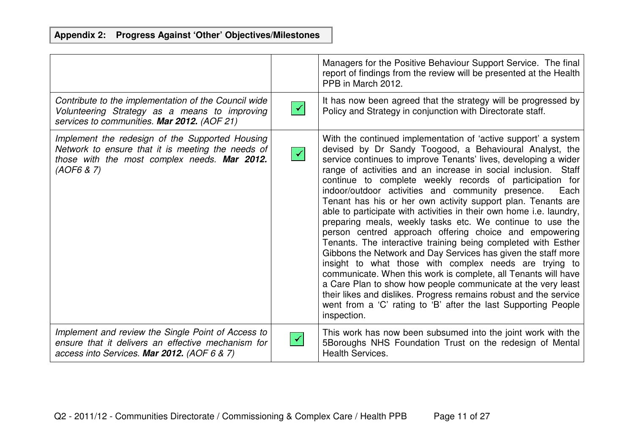|                                                                                                                                                                    |                      | Managers for the Positive Behaviour Support Service. The final<br>report of findings from the review will be presented at the Health<br>PPB in March 2012.                                                                                                                                                                                                                                                                                                                                                                                                                                                                                                                                                                                                                                                                                                                                                                                                                                                                                                                                                                                |
|--------------------------------------------------------------------------------------------------------------------------------------------------------------------|----------------------|-------------------------------------------------------------------------------------------------------------------------------------------------------------------------------------------------------------------------------------------------------------------------------------------------------------------------------------------------------------------------------------------------------------------------------------------------------------------------------------------------------------------------------------------------------------------------------------------------------------------------------------------------------------------------------------------------------------------------------------------------------------------------------------------------------------------------------------------------------------------------------------------------------------------------------------------------------------------------------------------------------------------------------------------------------------------------------------------------------------------------------------------|
| Contribute to the implementation of the Council wide<br>Volunteering Strategy as a means to improving<br>services to communities. Mar 2012. (AOF 21)               | $\blacktriangledown$ | It has now been agreed that the strategy will be progressed by<br>Policy and Strategy in conjunction with Directorate staff.                                                                                                                                                                                                                                                                                                                                                                                                                                                                                                                                                                                                                                                                                                                                                                                                                                                                                                                                                                                                              |
| Implement the redesign of the Supported Housing<br>Network to ensure that it is meeting the needs of<br>those with the most complex needs. Mar 2012.<br>(AOFG 8 7) | $\blacktriangledown$ | With the continued implementation of 'active support' a system<br>devised by Dr Sandy Toogood, a Behavioural Analyst, the<br>service continues to improve Tenants' lives, developing a wider<br>range of activities and an increase in social inclusion. Staff<br>continue to complete weekly records of participation for<br>indoor/outdoor activities and community presence.<br>Each<br>Tenant has his or her own activity support plan. Tenants are<br>able to participate with activities in their own home i.e. laundry,<br>preparing meals, weekly tasks etc. We continue to use the<br>person centred approach offering choice and empowering<br>Tenants. The interactive training being completed with Esther<br>Gibbons the Network and Day Services has given the staff more<br>insight to what those with complex needs are trying to<br>communicate. When this work is complete, all Tenants will have<br>a Care Plan to show how people communicate at the very least<br>their likes and dislikes. Progress remains robust and the service<br>went from a 'C' rating to 'B' after the last Supporting People<br>inspection. |
| Implement and review the Single Point of Access to<br>ensure that it delivers an effective mechanism for<br>access into Services. Mar 2012. (AOF 6 & 7)            |                      | This work has now been subsumed into the joint work with the<br>5Boroughs NHS Foundation Trust on the redesign of Mental<br><b>Health Services.</b>                                                                                                                                                                                                                                                                                                                                                                                                                                                                                                                                                                                                                                                                                                                                                                                                                                                                                                                                                                                       |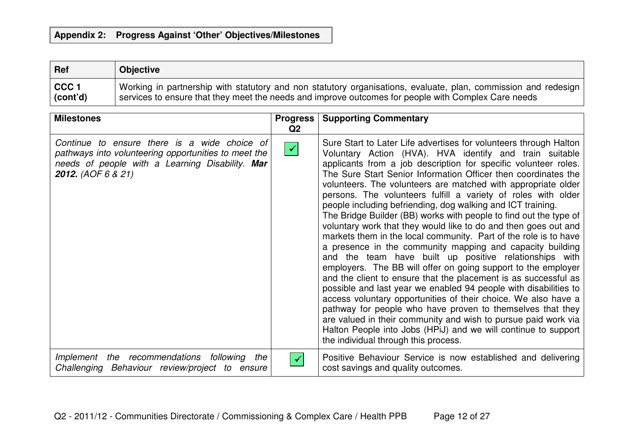| Ref       | <b>Objective</b>                                                                                               |
|-----------|----------------------------------------------------------------------------------------------------------------|
| $ $ CCC 1 | Working in partnership with statutory and non statutory organisations, evaluate, plan, commission and redesign |
| (cont'd)  | services to ensure that they meet the needs and improve outcomes for people with Complex Care needs            |

| <b>Milestones</b>                                                                                                                                                                    | <b>Progress</b><br>Q2 | <b>Supporting Commentary</b>                                                                                                                                                                                                                                                                                                                                                                                                                                                                                                                                                                                                                                                                                                                                                                                                                                                                                                                                                                                                                                                                                                                                                                                                                                                                                              |
|--------------------------------------------------------------------------------------------------------------------------------------------------------------------------------------|-----------------------|---------------------------------------------------------------------------------------------------------------------------------------------------------------------------------------------------------------------------------------------------------------------------------------------------------------------------------------------------------------------------------------------------------------------------------------------------------------------------------------------------------------------------------------------------------------------------------------------------------------------------------------------------------------------------------------------------------------------------------------------------------------------------------------------------------------------------------------------------------------------------------------------------------------------------------------------------------------------------------------------------------------------------------------------------------------------------------------------------------------------------------------------------------------------------------------------------------------------------------------------------------------------------------------------------------------------------|
| Continue to ensure there is a wide choice of<br>pathways into volunteering opportunities to meet the<br>needs of people with a Learning Disability. Mar<br><b>2012.</b> (AOF 6 & 21) | $\prec$               | Sure Start to Later Life advertises for volunteers through Halton<br>Voluntary Action (HVA). HVA identify and train suitable<br>applicants from a job description for specific volunteer roles.<br>The Sure Start Senior Information Officer then coordinates the<br>volunteers. The volunteers are matched with appropriate older<br>persons. The volunteers fulfill a variety of roles with older<br>people including befriending, dog walking and ICT training.<br>The Bridge Builder (BB) works with people to find out the type of<br>voluntary work that they would like to do and then goes out and<br>markets them in the local community. Part of the role is to have<br>a presence in the community mapping and capacity building<br>and the team have built up positive relationships with<br>employers. The BB will offer on going support to the employer<br>and the client to ensure that the placement is as successful as<br>possible and last year we enabled 94 people with disabilities to<br>access voluntary opportunities of their choice. We also have a<br>pathway for people who have proven to themselves that they<br>are valued in their community and wish to pursue paid work via<br>Halton People into Jobs (HPiJ) and we will continue to support<br>the individual through this process. |
| Implement the recommendations following the<br>Challenging Behaviour review/project to<br>ensure                                                                                     |                       | Positive Behaviour Service is now established and delivering<br>cost savings and quality outcomes.                                                                                                                                                                                                                                                                                                                                                                                                                                                                                                                                                                                                                                                                                                                                                                                                                                                                                                                                                                                                                                                                                                                                                                                                                        |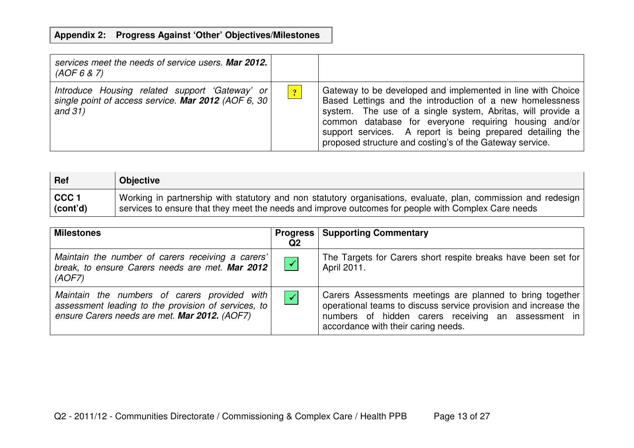| services meet the needs of service users. Mar 2012.<br>(AOF 6 8 7)                                                  |                |                                                                                                                                                                                                                                                                                                                                                                            |
|---------------------------------------------------------------------------------------------------------------------|----------------|----------------------------------------------------------------------------------------------------------------------------------------------------------------------------------------------------------------------------------------------------------------------------------------------------------------------------------------------------------------------------|
| Introduce Housing related support 'Gateway' or<br>single point of access service. Mar 2012 (AOF 6, 30)<br>and $31)$ | $\overline{?}$ | Gateway to be developed and implemented in line with Choice<br>Based Lettings and the introduction of a new homelessness<br>system. The use of a single system, Abritas, will provide a<br>common database for everyone requiring housing and/or<br>support services. A report is being prepared detailing the<br>proposed structure and costing's of the Gateway service. |

| <b>Ref</b>       | <b>Objective</b>                                                                                               |
|------------------|----------------------------------------------------------------------------------------------------------------|
| CCC <sub>1</sub> | Working in partnership with statutory and non statutory organisations, evaluate, plan, commission and redesign |
| (cont'd)         | services to ensure that they meet the needs and improve outcomes for people with Complex Care needs            |

| <b>Milestones</b>                                                                                                                                    | Q2                   | <b>Progress   Supporting Commentary</b>                                                                                                                                                                                    |
|------------------------------------------------------------------------------------------------------------------------------------------------------|----------------------|----------------------------------------------------------------------------------------------------------------------------------------------------------------------------------------------------------------------------|
| Maintain the number of carers receiving a carers'<br>break, to ensure Carers needs are met. Mar 2012<br>(AOF7)                                       | $\blacktriangledown$ | The Targets for Carers short respite breaks have been set for<br>April 2011.                                                                                                                                               |
| Maintain the numbers of carers provided with<br>assessment leading to the provision of services, to<br>ensure Carers needs are met. Mar 2012. (AOF7) | $\checkmark$         | Carers Assessments meetings are planned to bring together<br>operational teams to discuss service provision and increase the<br>numbers of hidden carers receiving an assessment in<br>accordance with their caring needs. |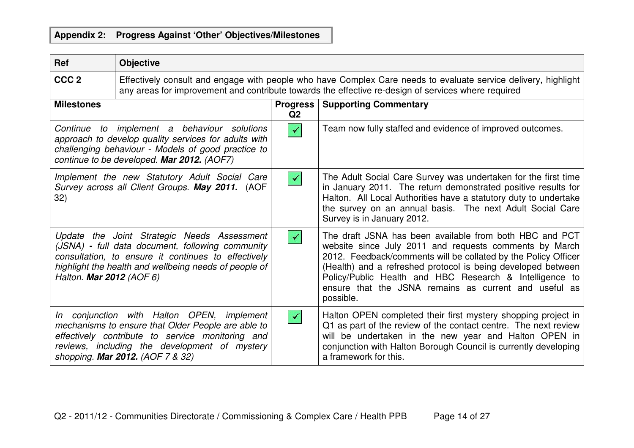| <b>Ref</b>               | <b>Objective</b>                                                                                                                                                                                                                          |                      |                                                                                                                                                                                                                                                                                                                                                                                      |
|--------------------------|-------------------------------------------------------------------------------------------------------------------------------------------------------------------------------------------------------------------------------------------|----------------------|--------------------------------------------------------------------------------------------------------------------------------------------------------------------------------------------------------------------------------------------------------------------------------------------------------------------------------------------------------------------------------------|
| CCC <sub>2</sub>         | Effectively consult and engage with people who have Complex Care needs to evaluate service delivery, highlight<br>any areas for improvement and contribute towards the effective re-design of services where required                     |                      |                                                                                                                                                                                                                                                                                                                                                                                      |
| <b>Milestones</b>        |                                                                                                                                                                                                                                           | Progress  <br>Q2     | <b>Supporting Commentary</b>                                                                                                                                                                                                                                                                                                                                                         |
|                          | Continue to implement a behaviour solutions<br>approach to develop quality services for adults with<br>challenging behaviour - Models of good practice to<br>continue to be developed. Mar 2012. (AOF7)                                   | $\blacktriangledown$ | Team now fully staffed and evidence of improved outcomes.                                                                                                                                                                                                                                                                                                                            |
| 32)                      | Implement the new Statutory Adult Social Care<br>Survey across all Client Groups. May 2011. (AOF                                                                                                                                          | $\blacktriangledown$ | The Adult Social Care Survey was undertaken for the first time<br>in January 2011. The return demonstrated positive results for<br>Halton. All Local Authorities have a statutory duty to undertake<br>the survey on an annual basis. The next Adult Social Care<br>Survey is in January 2012.                                                                                       |
| Halton. Mar 2012 (AOF 6) | Update the Joint Strategic Needs Assessment<br>(JSNA) - full data document, following community<br>consultation, to ensure it continues to effectively<br>highlight the health and wellbeing needs of people of                           | ✔                    | The draft JSNA has been available from both HBC and PCT<br>website since July 2011 and requests comments by March<br>2012. Feedback/comments will be collated by the Policy Officer<br>(Health) and a refreshed protocol is being developed between<br>Policy/Public Health and HBC Research & Intelligence to<br>ensure that the JSNA remains as current and useful as<br>possible. |
|                          | In conjunction with Halton OPEN, implement<br>mechanisms to ensure that Older People are able to<br>effectively contribute to service monitoring and<br>reviews, including the development of mystery<br>shopping. Mar 2012. (AOF 7 & 32) | $\blacktriangledown$ | Halton OPEN completed their first mystery shopping project in<br>Q1 as part of the review of the contact centre. The next review<br>will be undertaken in the new year and Halton OPEN in<br>conjunction with Halton Borough Council is currently developing<br>a framework for this.                                                                                                |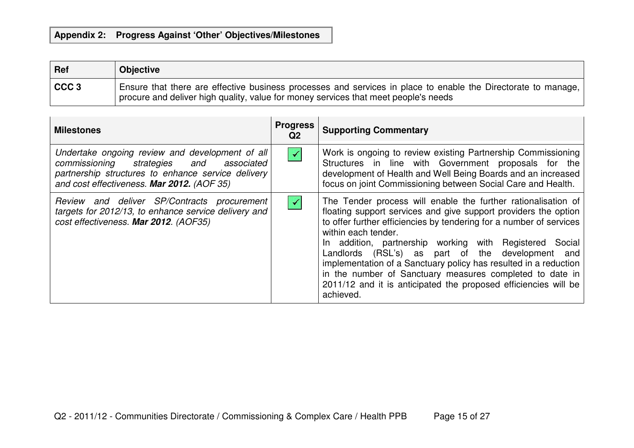| <b>Ref</b> | <b>Objective</b>                                                                                                                                                                                       |
|------------|--------------------------------------------------------------------------------------------------------------------------------------------------------------------------------------------------------|
| $ $ CCC 3  | Ensure that there are effective business processes and services in place to enable the Directorate to manage,<br>I procure and deliver high quality, value for money services that meet people's needs |

| <b>Milestones</b>                                                                                                                                                                              | <b>Progress</b><br>Q2 | <b>Supporting Commentary</b>                                                                                                                                                                                                                                                                                                                                                                                                                                                                                                                                  |
|------------------------------------------------------------------------------------------------------------------------------------------------------------------------------------------------|-----------------------|---------------------------------------------------------------------------------------------------------------------------------------------------------------------------------------------------------------------------------------------------------------------------------------------------------------------------------------------------------------------------------------------------------------------------------------------------------------------------------------------------------------------------------------------------------------|
| Undertake ongoing review and development of all<br>commissioning strategies and associated<br>partnership structures to enhance service delivery<br>and cost effectiveness. Mar 2012. (AOF 35) | $\blacktriangleright$ | Work is ongoing to review existing Partnership Commissioning<br>Structures in line with Government proposals for the<br>development of Health and Well Being Boards and an increased<br>focus on joint Commissioning between Social Care and Health.                                                                                                                                                                                                                                                                                                          |
| Review and deliver SP/Contracts procurement<br>targets for 2012/13, to enhance service delivery and<br>cost effectiveness. Mar 2012. (AOF35)                                                   | $\blacktriangledown$  | The Tender process will enable the further rationalisation of<br>floating support services and give support providers the option<br>to offer further efficiencies by tendering for a number of services<br>within each tender.<br>In addition, partnership working with Registered Social<br>Landlords (RSL's) as part of the development and<br>implementation of a Sanctuary policy has resulted in a reduction<br>in the number of Sanctuary measures completed to date in<br>2011/12 and it is anticipated the proposed efficiencies will be<br>achieved. |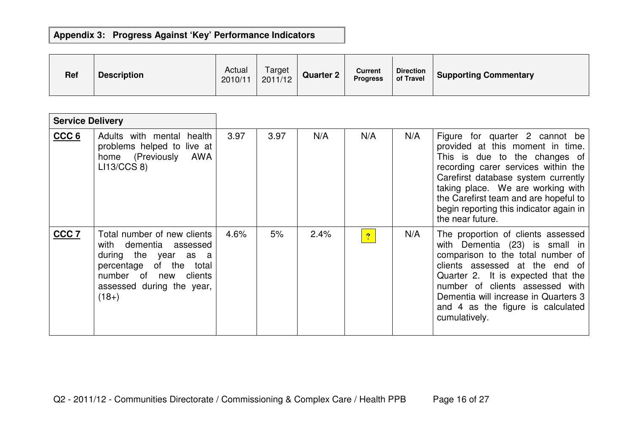| <b>Ref</b> | <b>Description</b> | Actual<br>2010/11 | Target<br>2011/12 | <b>Quarter 2</b> | <b>Current</b><br><b>Progress</b> | <b>Direction</b><br>of Travel | <b>Supporting Commentary</b> |
|------------|--------------------|-------------------|-------------------|------------------|-----------------------------------|-------------------------------|------------------------------|
|------------|--------------------|-------------------|-------------------|------------------|-----------------------------------|-------------------------------|------------------------------|

| <b>Service Delivery</b> |                                                                                                                                                                                       |      |      |      |                |     |                                                                                                                                                                                                                                                                                                                                |
|-------------------------|---------------------------------------------------------------------------------------------------------------------------------------------------------------------------------------|------|------|------|----------------|-----|--------------------------------------------------------------------------------------------------------------------------------------------------------------------------------------------------------------------------------------------------------------------------------------------------------------------------------|
| CCC <sub>6</sub>        | Adults with mental health<br>problems helped to live at<br>home (Previously<br>AWA<br>LI13/CCS 8                                                                                      | 3.97 | 3.97 | N/A  | N/A            | N/A | Figure for quarter 2 cannot be<br>provided at this moment in time.<br>This is due to the changes of<br>recording carer services within the<br>Carefirst database system currently<br>taking place. We are working with<br>the Carefirst team and are hopeful to<br>begin reporting this indicator again in<br>the near future. |
| CCC <sub>7</sub>        | Total number of new clients<br>with dementia<br>assessed<br>during the year as a<br>percentage of the<br>total<br>number of<br>clients<br>new<br>assessed during the year,<br>$(18+)$ | 4.6% | 5%   | 2.4% | $\overline{2}$ | N/A | The proportion of clients assessed<br>with Dementia (23) is small in<br>comparison to the total number of<br>clients assessed at the end of<br>Quarter 2. It is expected that the<br>number of clients assessed with<br>Dementia will increase in Quarters 3<br>and 4 as the figure is calculated<br>cumulatively.             |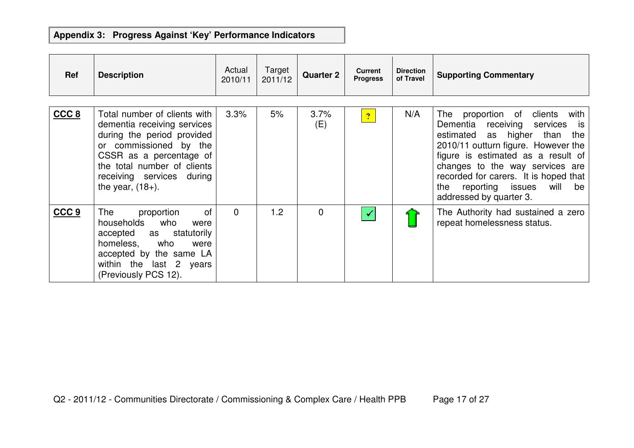| Ref              | <b>Description</b>                                                                                                                                                                                                                | Actual<br>2010/11 | Target<br>2011/12 | <b>Quarter 2</b> | <b>Current</b><br><b>Progress</b> | <b>Direction</b><br>of Travel | <b>Supporting Commentary</b>                                                                                                                                                                                                                                                                                                                    |
|------------------|-----------------------------------------------------------------------------------------------------------------------------------------------------------------------------------------------------------------------------------|-------------------|-------------------|------------------|-----------------------------------|-------------------------------|-------------------------------------------------------------------------------------------------------------------------------------------------------------------------------------------------------------------------------------------------------------------------------------------------------------------------------------------------|
| CCC <sub>8</sub> | Total number of clients with<br>dementia receiving services<br>during the period provided<br>or commissioned by the<br>CSSR as a percentage of<br>the total number of clients<br>receiving services during<br>the year, $(18+)$ . | 3.3%              | 5%                | 3.7%<br>(E)      | $\overline{?}$                    | N/A                           | proportion of<br>clients<br>The<br>with<br>Dementia receiving services<br>is is<br>estimated as higher than<br>the<br>2010/11 outturn figure. However the<br>figure is estimated as a result of<br>changes to the way services are<br>recorded for carers. It is hoped that<br>reporting issues<br>will<br>the<br>be<br>addressed by quarter 3. |
| CCC <sub>9</sub> | of<br>proportion<br>The<br>households<br>who<br>were<br>accepted<br>statutorily<br>as<br>homeless, who<br>were<br>accepted by the same LA<br>within the last 2 years<br>(Previously PCS 12).                                      | $\Omega$          | 1.2               | $\mathbf 0$      | $\checkmark$                      |                               | The Authority had sustained a zero<br>repeat homelessness status.                                                                                                                                                                                                                                                                               |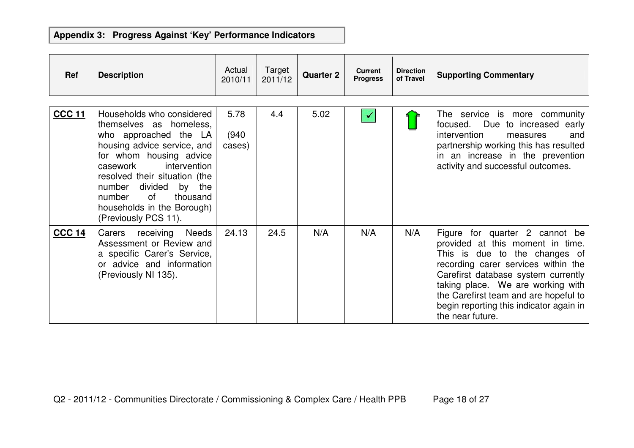| <b>Ref</b>    | <b>Description</b>                                                                                                                                                                                                                                                                                                 | Actual<br>2010/11       | Target<br>2011/12 | <b>Quarter 2</b> | <b>Current</b><br><b>Progress</b> | <b>Direction</b><br>of Travel | <b>Supporting Commentary</b>                                                                                                                                                                                                                                                                                                   |
|---------------|--------------------------------------------------------------------------------------------------------------------------------------------------------------------------------------------------------------------------------------------------------------------------------------------------------------------|-------------------------|-------------------|------------------|-----------------------------------|-------------------------------|--------------------------------------------------------------------------------------------------------------------------------------------------------------------------------------------------------------------------------------------------------------------------------------------------------------------------------|
| <b>CCC 11</b> | Households who considered<br>themselves as homeless,<br>who approached the LA<br>housing advice service, and<br>for whom housing advice<br>intervention<br>casework<br>resolved their situation (the<br>divided by the<br>number<br>of<br>thousand<br>number<br>households in the Borough)<br>(Previously PCS 11). | 5.78<br>(940)<br>cases) | 4.4               | 5.02             | ✔                                 |                               | The service is more community<br>Due to increased early<br>focused.<br>intervention<br>and<br>measures<br>partnership working this has resulted<br>in an increase in the prevention<br>activity and successful outcomes.                                                                                                       |
| <b>CCC 14</b> | Carers receiving Needs<br>Assessment or Review and<br>a specific Carer's Service,<br>or advice and information<br>(Previously NI 135).                                                                                                                                                                             | 24.13                   | 24.5              | N/A              | N/A                               | N/A                           | Figure for quarter 2 cannot be<br>provided at this moment in time.<br>This is due to the changes of<br>recording carer services within the<br>Carefirst database system currently<br>taking place. We are working with<br>the Carefirst team and are hopeful to<br>begin reporting this indicator again in<br>the near future. |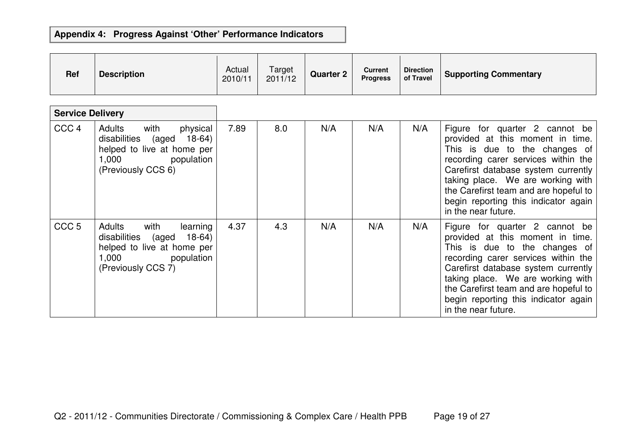| <b>Ref</b>              | <b>Description</b>                                                                                                                      | Actual<br>2010/11 | Target<br>2011/12 | <b>Quarter 2</b> | <b>Current</b><br><b>Progress</b> | <b>Direction</b><br>of Travel | <b>Supporting Commentary</b>                                                                                                                                                                                                                                                                                                   |
|-------------------------|-----------------------------------------------------------------------------------------------------------------------------------------|-------------------|-------------------|------------------|-----------------------------------|-------------------------------|--------------------------------------------------------------------------------------------------------------------------------------------------------------------------------------------------------------------------------------------------------------------------------------------------------------------------------|
| <b>Service Delivery</b> |                                                                                                                                         |                   |                   |                  |                                   |                               |                                                                                                                                                                                                                                                                                                                                |
| CCC <sub>4</sub>        | Adults<br>with<br>physical<br>disabilities (aged<br>$18-64)$<br>helped to live at home per<br>1,000 population<br>(Previously CCS 6)    | 7.89              | 8.0               | N/A              | N/A                               | N/A                           | Figure for quarter 2 cannot be<br>provided at this moment in time.<br>This is due to the changes of<br>recording carer services within the<br>Carefirst database system currently<br>taking place. We are working with<br>the Carefirst team and are hopeful to<br>begin reporting this indicator again<br>in the near future. |
| CCC <sub>5</sub>        | Adults<br>with<br>learning<br>$18-64)$<br>disabilities<br>(aged<br>helped to live at home per<br>1,000 population<br>(Previously CCS 7) | 4.37              | 4.3               | N/A              | N/A                               | N/A                           | Figure for quarter 2 cannot be<br>provided at this moment in time.<br>This is due to the changes of<br>recording carer services within the<br>Carefirst database system currently<br>taking place. We are working with<br>the Carefirst team and are hopeful to<br>begin reporting this indicator again<br>in the near future. |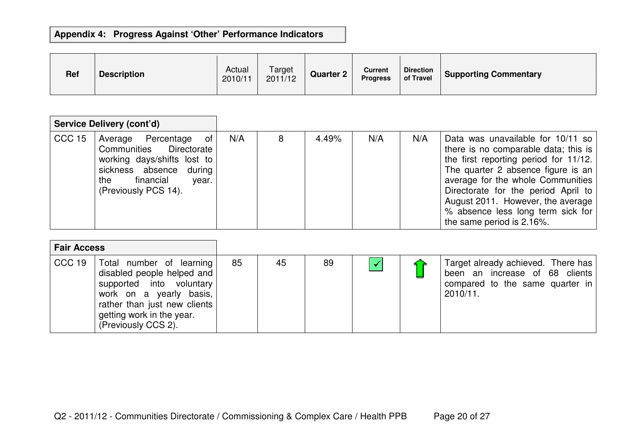| Ref | <b>Description</b> | Actual<br>2010/11 | Target<br>2011/12 | <b>Quarter 2</b> | <b>Current</b><br><b>Progress</b> | <b>Direction</b><br>of Travel | <b>Supporting Commentary</b> |
|-----|--------------------|-------------------|-------------------|------------------|-----------------------------------|-------------------------------|------------------------------|
|-----|--------------------|-------------------|-------------------|------------------|-----------------------------------|-------------------------------|------------------------------|

|                   | <b>Service Delivery (cont'd)</b>                                                                                                                                   |     |   |       |     |     |                                                                                                                                                                                                                                                                                                                                             |
|-------------------|--------------------------------------------------------------------------------------------------------------------------------------------------------------------|-----|---|-------|-----|-----|---------------------------------------------------------------------------------------------------------------------------------------------------------------------------------------------------------------------------------------------------------------------------------------------------------------------------------------------|
| CCC <sub>15</sub> | Average Percentage of<br>Communities Directorate<br>working days/shifts lost to<br>sickness absence<br>during<br>financial<br>the<br>year.<br>(Previously PCS 14). | N/A | 8 | 4.49% | N/A | N/A | Data was unavailable for 10/11 so<br>there is no comparable data; this is<br>the first reporting period for 11/12.<br>The quarter 2 absence figure is an<br>average for the whole Communities<br>Directorate for the period April to<br>August 2011. However, the average<br>% absence less long term sick for<br>the same period is 2.16%. |

| <b>Fair Access</b> |                                                                                                                                                                                                   |    |    |    |  |                                                                                                                     |
|--------------------|---------------------------------------------------------------------------------------------------------------------------------------------------------------------------------------------------|----|----|----|--|---------------------------------------------------------------------------------------------------------------------|
| CCC 19             | Total number of learning<br>disabled people helped and<br>supported into voluntary<br>work on a yearly basis,<br>rather than just new clients<br>getting work in the year.<br>(Previously CCS 2). | 85 | 45 | 89 |  | Target already achieved. There has<br>been an increase of 68 clients<br>compared to the same quarter in<br>2010/11. |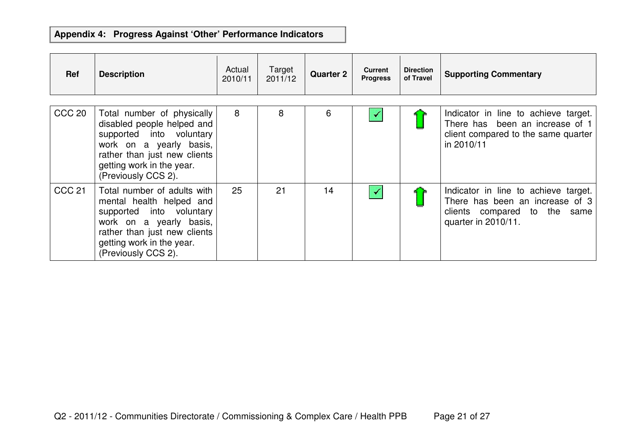| Ref               | <b>Description</b>                                                                                                                                                                                  | Actual<br>2010/11 | Target<br>2011/12 | <b>Quarter 2</b> | <b>Current</b><br><b>Progress</b> | <b>Direction</b><br>of Travel | <b>Supporting Commentary</b>                                                                                                   |
|-------------------|-----------------------------------------------------------------------------------------------------------------------------------------------------------------------------------------------------|-------------------|-------------------|------------------|-----------------------------------|-------------------------------|--------------------------------------------------------------------------------------------------------------------------------|
| <b>CCC 20</b>     | Total number of physically<br>disabled people helped and<br>supported into voluntary<br>work on a yearly basis,<br>rather than just new clients<br>getting work in the year.<br>(Previously CCS 2). | 8                 | 8                 | 6                |                                   |                               | Indicator in line to achieve target.<br>There has been an increase of 1<br>client compared to the same quarter<br>in 2010/11   |
| CCC <sub>21</sub> | Total number of adults with<br>mental health helped and<br>supported into voluntary<br>work on a yearly basis,<br>rather than just new clients<br>getting work in the year.<br>(Previously CCS 2).  | 25                | 21                | 14               |                                   |                               | Indicator in line to achieve target.<br>There has been an increase of 3<br>clients compared to the same<br>quarter in 2010/11. |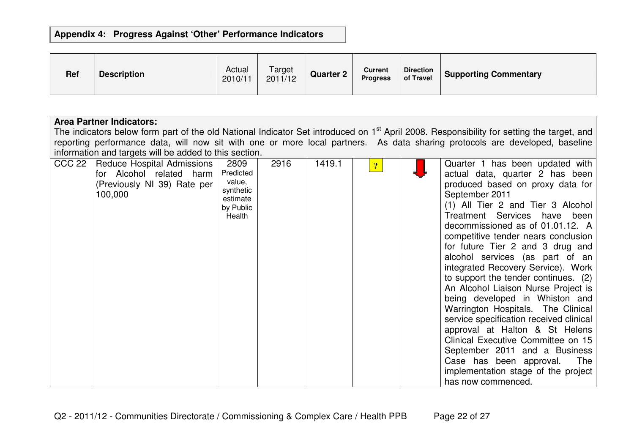| Ref | <b>Description</b> | Actual<br>2010/11 | Target<br>2011/12 | <b>Quarter 2</b> | <b>Current</b><br><b>Progress</b> | <b>Direction</b><br>of Travel | <b>Supporting Commentary</b> |
|-----|--------------------|-------------------|-------------------|------------------|-----------------------------------|-------------------------------|------------------------------|
|-----|--------------------|-------------------|-------------------|------------------|-----------------------------------|-------------------------------|------------------------------|

|        | <b>Area Partner Indicators:</b><br>The indicators below form part of the old National Indicator Set introduced on 1 <sup>st</sup> April 2008. Responsibility for setting the target, and<br>reporting performance data, will now sit with one or more local partners. As data sharing protocols are developed, baseline<br>information and targets will be added to this section. |                                                                             |      |        |              |  |                                                                                                                                                                                                                                                                                                                                                                                                                                                                                                                                                                                                                                                                                                                                                                                                 |  |  |  |  |  |
|--------|-----------------------------------------------------------------------------------------------------------------------------------------------------------------------------------------------------------------------------------------------------------------------------------------------------------------------------------------------------------------------------------|-----------------------------------------------------------------------------|------|--------|--------------|--|-------------------------------------------------------------------------------------------------------------------------------------------------------------------------------------------------------------------------------------------------------------------------------------------------------------------------------------------------------------------------------------------------------------------------------------------------------------------------------------------------------------------------------------------------------------------------------------------------------------------------------------------------------------------------------------------------------------------------------------------------------------------------------------------------|--|--|--|--|--|
| CCC 22 | Reduce Hospital Admissions<br>for Alcohol related harm<br>(Previously NI 39) Rate per<br>100,000                                                                                                                                                                                                                                                                                  | 2809<br>Predicted<br>value,<br>synthetic<br>estimate<br>by Public<br>Health | 2916 | 1419.1 | $\mathbf{P}$ |  | Quarter 1 has been updated with<br>actual data, quarter 2 has been<br>produced based on proxy data for<br>September 2011<br>(1) All Tier 2 and Tier 3 Alcohol<br>Treatment Services have been<br>decommissioned as of 01.01.12. A<br>competitive tender nears conclusion<br>for future Tier 2 and 3 drug and<br>alcohol services (as part of an<br>integrated Recovery Service). Work<br>to support the tender continues. (2)<br>An Alcohol Liaison Nurse Project is<br>being developed in Whiston and<br>Warrington Hospitals. The Clinical<br>service specification received clinical<br>approval at Halton & St Helens<br>Clinical Executive Committee on 15<br>September 2011 and a Business<br>Case has been approval.<br>The<br>implementation stage of the project<br>has now commenced. |  |  |  |  |  |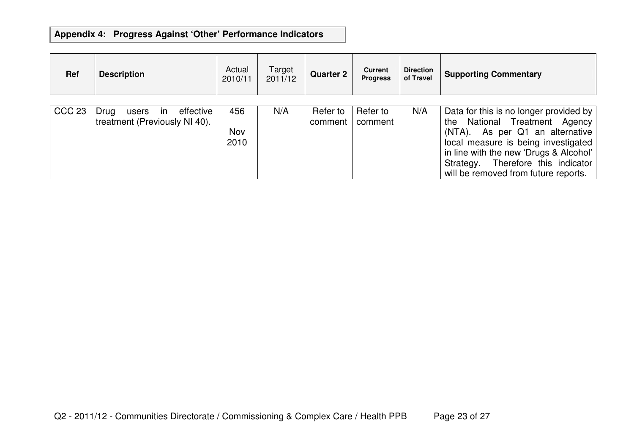| <b>Ref</b>    | <b>Description</b>                                                          | Actual<br>2010/11  | Target<br>2011/12 | <b>Quarter 2</b>    | <b>Current</b><br><b>Progress</b> | <b>Direction</b><br>of Travel | <b>Supporting Commentary</b>                                                                                                                                                                                                                                                    |
|---------------|-----------------------------------------------------------------------------|--------------------|-------------------|---------------------|-----------------------------------|-------------------------------|---------------------------------------------------------------------------------------------------------------------------------------------------------------------------------------------------------------------------------------------------------------------------------|
| <b>CCC 23</b> | effective<br>Drug<br>$\mathsf{I}$<br>users<br>treatment (Previously NI 40). | 456<br>Nov<br>2010 | N/A               | Refer to<br>comment | Refer to<br>comment               | N/A                           | Data for this is no longer provided by<br>National Treatment Agency<br>the<br>(NTA). As per Q1 an alternative<br>local measure is being investigated<br>in line with the new 'Drugs & Alcohol'<br>Therefore this indicator<br>Strategy.<br>will be removed from future reports. |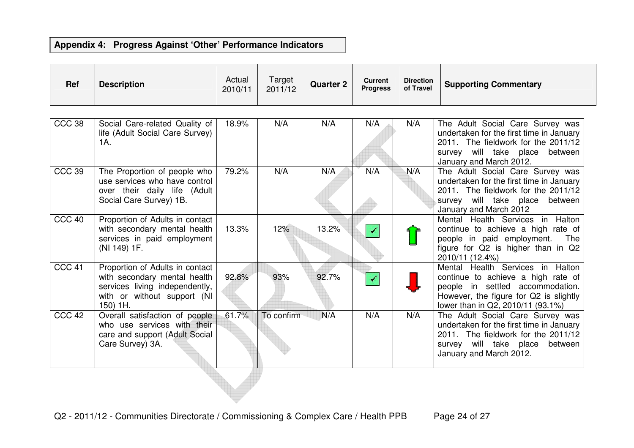| <b>Ref</b> | <b>Description</b> | Actual<br>2010/11 | Target<br>2011/12 | <b>Quarter 2</b> | <b>Current</b><br><b>Progress</b> | <b>Direction</b><br>of Travel | <b>Supporting Commentary</b> |
|------------|--------------------|-------------------|-------------------|------------------|-----------------------------------|-------------------------------|------------------------------|
|            |                    |                   |                   |                  |                                   |                               |                              |

| <b>CCC 38</b>     | Social Care-related Quality of<br>life (Adult Social Care Survey)<br>1A.                                                                     | 18.9% | N/A        | N/A   | N/A | N/A | The Adult Social Care Survey was<br>undertaken for the first time in January<br>2011. The fieldwork for the 2011/12<br>survey will take place between<br>January and March 2012.          |
|-------------------|----------------------------------------------------------------------------------------------------------------------------------------------|-------|------------|-------|-----|-----|-------------------------------------------------------------------------------------------------------------------------------------------------------------------------------------------|
| <b>CCC 39</b>     | The Proportion of people who<br>use services who have control<br>over their daily life (Adult<br>Social Care Survey) 1B.                     | 79.2% | N/A        | N/A   | N/A | N/A | The Adult Social Care Survey was<br>undertaken for the first time in January<br>2011. The fieldwork for the 2011/12<br>survey will take place between<br>January and March 2012           |
| CCC 40            | Proportion of Adults in contact<br>with secondary mental health<br>services in paid employment<br>(NI 149) 1F.                               | 13.3% | 12%        | 13.2% |     |     | Mental Health Services in Halton<br>continue to achieve a high rate of<br>people in paid employment.<br>The<br>figure for Q2 is higher than in Q2<br>2010/11 (12.4%)                      |
| CCC <sub>41</sub> | Proportion of Adults in contact<br>with secondary mental health<br>services living independently,<br>with or without support (NI<br>150) 1H. | 92.8% | 93%        | 92.7% |     |     | Mental Health Services in Halton<br>continue to achieve a high rate of<br>people in settled accommodation.<br>However, the figure for Q2 is slightly<br>lower than in Q2, 2010/11 (93.1%) |
| CCC 42            | Overall satisfaction of people<br>who use services with their<br>care and support (Adult Social<br>Care Survey) 3A.                          | 61.7% | To confirm | N/A   | N/A | N/A | The Adult Social Care Survey was<br>undertaken for the first time in January<br>2011. The fieldwork for the 2011/12<br>survey will take place between<br>January and March 2012.          |

 $\mathcal{L}$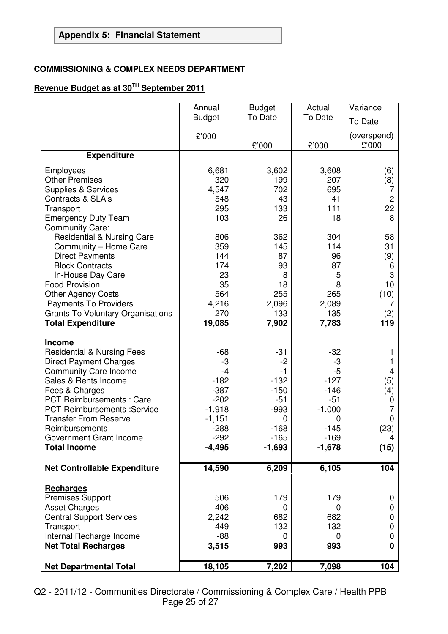#### **COMMISSIONING & COMPLEX NEEDS DEPARTMENT**

### **Revenue Budget as at 30TH September 2011**

|                                                 | Annual        | <b>Budget</b> | Actual     | Variance          |
|-------------------------------------------------|---------------|---------------|------------|-------------------|
|                                                 | <b>Budget</b> | To Date       | To Date    | To Date           |
|                                                 | £'000         |               |            | (overspend)       |
|                                                 |               | £'000         | £'000      | £'000             |
| <b>Expenditure</b>                              |               |               |            |                   |
| Employees                                       | 6,681         | 3,602         | 3,608      | (6)               |
| <b>Other Premises</b>                           | 320           | 199           | 207        | (8)               |
| <b>Supplies &amp; Services</b>                  | 4,547         | 702           | 695        | 7                 |
| Contracts & SLA's                               | 548           | 43            | 41         | $\overline{c}$    |
| Transport                                       | 295           | 133           | 111        | 22                |
| <b>Emergency Duty Team</b>                      | 103           | 26            | 18         | 8                 |
| <b>Community Care:</b>                          |               |               |            |                   |
| <b>Residential &amp; Nursing Care</b>           | 806<br>359    | 362<br>145    | 304<br>114 | 58<br>31          |
| Community - Home Care<br><b>Direct Payments</b> | 144           | 87            | 96         | (9)               |
| <b>Block Contracts</b>                          | 174           | 93            | 87         | 6                 |
| In-House Day Care                               | 23            | 8             | 5          | 3                 |
| <b>Food Provision</b>                           | 35            | 18            | 8          | 10                |
| <b>Other Agency Costs</b>                       | 564           | 255           | 265        | (10)              |
| <b>Payments To Providers</b>                    | 4,216         | 2,096         | 2,089      | 7                 |
| <b>Grants To Voluntary Organisations</b>        | 270           | 133           | 135        | $\left( 2\right)$ |
| <b>Total Expenditure</b>                        | 19,085        | 7,902         | 7,783      | 119               |
| Income                                          |               |               |            |                   |
| <b>Residential &amp; Nursing Fees</b>           | $-68$         | $-31$         | $-32$      |                   |
| <b>Direct Payment Charges</b>                   | -3            | $-2$          | -3         |                   |
| <b>Community Care Income</b>                    | $-4$          | $-1$          | $-5$       | 4                 |
| Sales & Rents Income                            | $-182$        | $-132$        | $-127$     | (5)               |
| Fees & Charges                                  | $-387$        | $-150$        | $-146$     | (4)               |
| <b>PCT Reimbursements: Care</b>                 | $-202$        | $-51$         | $-51$      | 0                 |
| <b>PCT Reimbursements : Service</b>             | $-1,918$      | $-993$        | $-1,000$   |                   |
| <b>Transfer From Reserve</b>                    | $-1,151$      | 0             | 0          | 0                 |
| Reimbursements                                  | $-288$        | $-168$        | $-145$     | (23)              |
| Government Grant Income                         | $-292$        | $-165$        | 169        | Δ                 |
| <b>Total Income</b>                             | $-4,495$      | $-1,693$      | $-1,678$   | (15)              |
| <b>Net Controllable Expenditure</b>             | 14,590        | 6,209         | 6,105      | 104               |
|                                                 |               |               |            |                   |
| Recharges                                       |               |               |            |                   |
| <b>Premises Support</b>                         | 506           | 179           | 179        | 0                 |
| <b>Asset Charges</b>                            | 406           | 0             | 0          | 0                 |
| <b>Central Support Services</b>                 | 2,242         | 682           | 682        | 0                 |
| Transport<br>Internal Recharge Income           | 449<br>$-88$  | 132<br>0      | 132<br>0   | 0                 |
| <b>Net Total Recharges</b>                      | 3,515         | 993           | 993        | 0<br>0            |
|                                                 |               |               |            |                   |
| <b>Net Departmental Total</b>                   | 18,105        | 7,202         | 7,098      | 104               |

Q2 - 2011/12 - Communities Directorate / Commissioning & Complex Care / Health PPB Page 25 of 27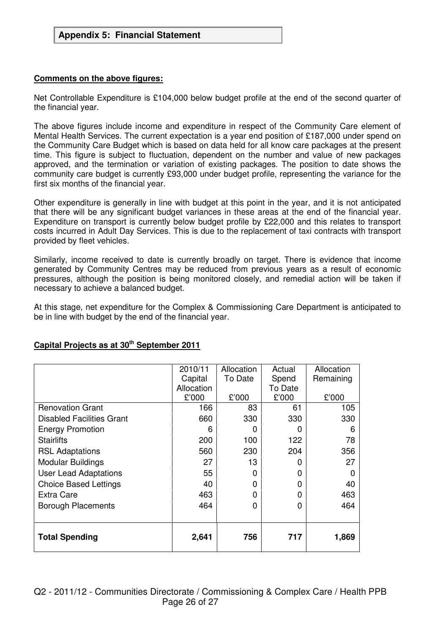#### **Comments on the above figures:**

Net Controllable Expenditure is £104,000 below budget profile at the end of the second quarter of the financial year.

The above figures include income and expenditure in respect of the Community Care element of Mental Health Services. The current expectation is a year end position of £187,000 under spend on the Community Care Budget which is based on data held for all know care packages at the present time. This figure is subject to fluctuation, dependent on the number and value of new packages approved, and the termination or variation of existing packages. The position to date shows the community care budget is currently £93,000 under budget profile, representing the variance for the first six months of the financial year.

Other expenditure is generally in line with budget at this point in the year, and it is not anticipated that there will be any significant budget variances in these areas at the end of the financial year. Expenditure on transport is currently below budget profile by £22,000 and this relates to transport costs incurred in Adult Day Services. This is due to the replacement of taxi contracts with transport provided by fleet vehicles.

Similarly, income received to date is currently broadly on target. There is evidence that income generated by Community Centres may be reduced from previous years as a result of economic pressures, although the position is being monitored closely, and remedial action will be taken if necessary to achieve a balanced budget.

At this stage, net expenditure for the Complex & Commissioning Care Department is anticipated to be in line with budget by the end of the financial year.

|                              | 2010/11    | Allocation | Actual       | Allocation |
|------------------------------|------------|------------|--------------|------------|
|                              | Capital    | To Date    | Spend        | Remaining  |
|                              | Allocation |            | To Date      |            |
|                              | £'000      | £'000      | £'000        | £'000      |
| <b>Renovation Grant</b>      | 166        | 83         | 61           | 105        |
| Disabled Facilities Grant    | 660        | 330        | 330          | 330        |
| <b>Energy Promotion</b>      | 6          | O          | $\mathbf{0}$ | 6          |
| <b>Stairlifts</b>            | 200        | 100        | 122          | 78         |
| <b>RSL Adaptations</b>       | 560        | 230        | 204          | 356        |
| Modular Buildings            | 27         | 13         | 0            | 27         |
| <b>User Lead Adaptations</b> | 55         | 0          | 0            | O          |
| <b>Choice Based Lettings</b> | 40         | 0          | 0            | 40         |
| <b>Extra Care</b>            | 463        | 0          | 0            | 463        |
| <b>Borough Placements</b>    | 464        | 0          | 0            | 464        |
|                              |            |            |              |            |
|                              |            |            |              |            |
| <b>Total Spending</b>        | 2,641      | 756        | 717          | 1,869      |
|                              |            |            |              |            |

#### **Capital Projects as at 30th September 2011**